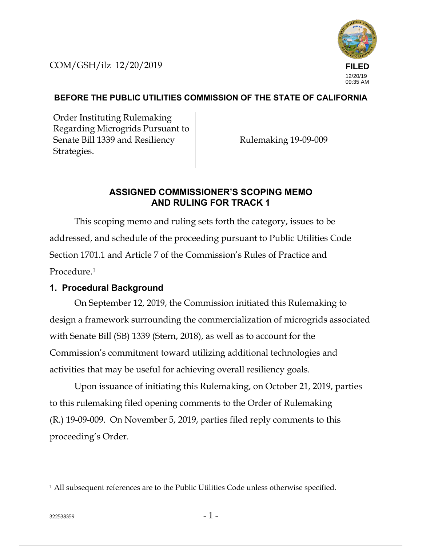COM/GSH/ilz 12/20/2019



### **BEFORE THE PUBLIC UTILITIES COMMISSION OF THE STATE OF CALIFORNIA**

Order Instituting Rulemaking Regarding Microgrids Pursuant to Senate Bill 1339 and Resiliency Strategies.

Rulemaking 19-09-009

### **ASSIGNED COMMISSIONER'S SCOPING MEMO AND RULING FOR TRACK 1**

This scoping memo and ruling sets forth the category, issues to be addressed, and schedule of the proceeding pursuant to Public Utilities Code Section 1701.1 and Article 7 of the Commission's Rules of Practice and Procedure.1

## **1. Procedural Background**

On September 12, 2019, the Commission initiated this Rulemaking to design a framework surrounding the commercialization of microgrids associated with Senate Bill (SB) 1339 (Stern, 2018), as well as to account for the Commission's commitment toward utilizing additional technologies and activities that may be useful for achieving overall resiliency goals.

Upon issuance of initiating this Rulemaking, on October 21, 2019, parties to this rulemaking filed opening comments to the Order of Rulemaking (R.) 19-09-009. On November 5, 2019, parties filed reply comments to this proceeding's Order.

<sup>&</sup>lt;sup>1</sup> All subsequent references are to the Public Utilities Code unless otherwise specified.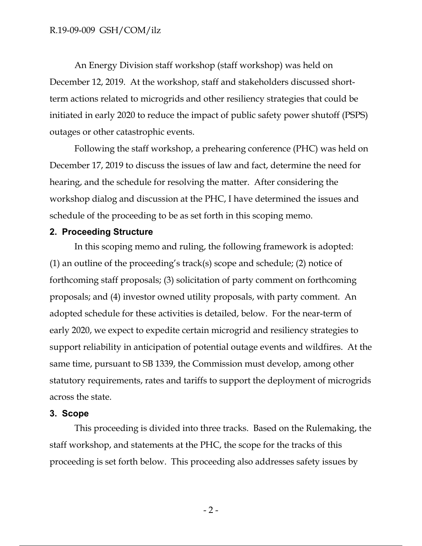An Energy Division staff workshop (staff workshop) was held on December 12, 2019. At the workshop, staff and stakeholders discussed shortterm actions related to microgrids and other resiliency strategies that could be initiated in early 2020 to reduce the impact of public safety power shutoff (PSPS) outages or other catastrophic events.

Following the staff workshop, a prehearing conference (PHC) was held on December 17, 2019 to discuss the issues of law and fact, determine the need for hearing, and the schedule for resolving the matter. After considering the workshop dialog and discussion at the PHC, I have determined the issues and schedule of the proceeding to be as set forth in this scoping memo.

#### **2. Proceeding Structure**

In this scoping memo and ruling, the following framework is adopted: (1) an outline of the proceeding's track(s) scope and schedule; (2) notice of forthcoming staff proposals; (3) solicitation of party comment on forthcoming proposals; and (4) investor owned utility proposals, with party comment. An adopted schedule for these activities is detailed, below. For the near-term of early 2020, we expect to expedite certain microgrid and resiliency strategies to support reliability in anticipation of potential outage events and wildfires. At the same time, pursuant to SB 1339, the Commission must develop, among other statutory requirements, rates and tariffs to support the deployment of microgrids across the state.

#### **3. Scope**

This proceeding is divided into three tracks. Based on the Rulemaking, the staff workshop, and statements at the PHC, the scope for the tracks of this proceeding is set forth below. This proceeding also addresses safety issues by

 $-2-$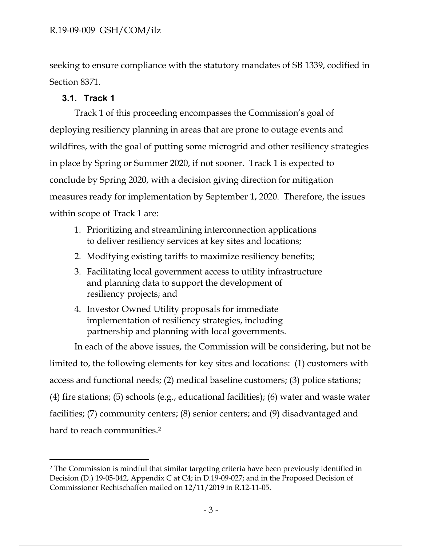seeking to ensure compliance with the statutory mandates of SB 1339, codified in Section 8371.

## **3.1. Track 1**

Track 1 of this proceeding encompasses the Commission's goal of deploying resiliency planning in areas that are prone to outage events and wildfires, with the goal of putting some microgrid and other resiliency strategies in place by Spring or Summer 2020, if not sooner. Track 1 is expected to conclude by Spring 2020, with a decision giving direction for mitigation measures ready for implementation by September 1, 2020. Therefore, the issues within scope of Track 1 are:

- 1. Prioritizing and streamlining interconnection applications to deliver resiliency services at key sites and locations;
- 2. Modifying existing tariffs to maximize resiliency benefits;
- 3. Facilitating local government access to utility infrastructure and planning data to support the development of resiliency projects; and
- 4. Investor Owned Utility proposals for immediate implementation of resiliency strategies, including partnership and planning with local governments.

In each of the above issues, the Commission will be considering, but not be limited to, the following elements for key sites and locations: (1) customers with access and functional needs; (2) medical baseline customers; (3) police stations; (4) fire stations; (5) schools (e.g., educational facilities); (6) water and waste water facilities; (7) community centers; (8) senior centers; and (9) disadvantaged and hard to reach communities.<sup>2</sup>

<sup>2</sup> The Commission is mindful that similar targeting criteria have been previously identified in Decision (D.) 19-05-042, Appendix C at C4; in D.19-09-027; and in the Proposed Decision of Commissioner Rechtschaffen mailed on 12/11/2019 in R.12-11-05.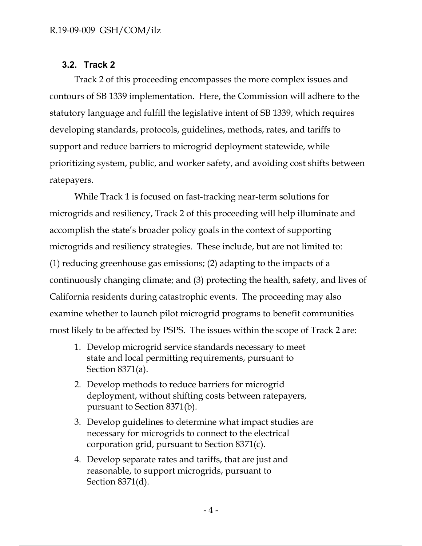## **3.2. Track 2**

Track 2 of this proceeding encompasses the more complex issues and contours of SB 1339 implementation. Here, the Commission will adhere to the statutory language and fulfill the legislative intent of SB 1339, which requires developing standards, protocols, guidelines, methods, rates, and tariffs to support and reduce barriers to microgrid deployment statewide, while prioritizing system, public, and worker safety, and avoiding cost shifts between ratepayers.

While Track 1 is focused on fast-tracking near-term solutions for microgrids and resiliency, Track 2 of this proceeding will help illuminate and accomplish the state's broader policy goals in the context of supporting microgrids and resiliency strategies. These include, but are not limited to: (1) reducing greenhouse gas emissions; (2) adapting to the impacts of a continuously changing climate; and (3) protecting the health, safety, and lives of California residents during catastrophic events. The proceeding may also examine whether to launch pilot microgrid programs to benefit communities most likely to be affected by PSPS. The issues within the scope of Track 2 are:

- 1. Develop microgrid service standards necessary to meet state and local permitting requirements, pursuant to Section 8371(a).
- 2. Develop methods to reduce barriers for microgrid deployment, without shifting costs between ratepayers, pursuant to Section 8371(b).
- 3. Develop guidelines to determine what impact studies are necessary for microgrids to connect to the electrical corporation grid, pursuant to Section 8371(c).
- 4. Develop separate rates and tariffs, that are just and reasonable, to support microgrids, pursuant to Section 8371(d).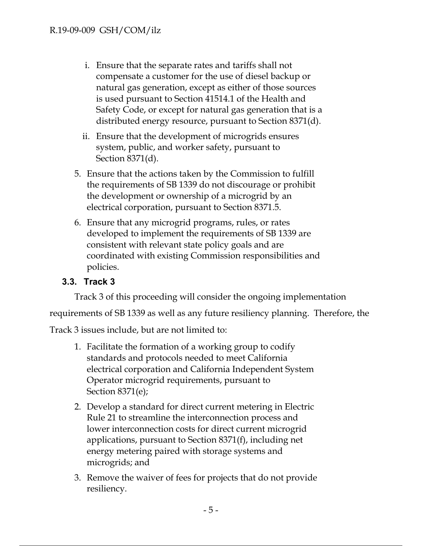- i. Ensure that the separate rates and tariffs shall not compensate a customer for the use of diesel backup or natural gas generation, except as either of those sources is used pursuant to Section 41514.1 of the Health and Safety Code, or except for natural gas generation that is a distributed energy resource, pursuant to Section 8371(d).
- ii. Ensure that the development of microgrids ensures system, public, and worker safety, pursuant to Section 8371(d).
- 5. Ensure that the actions taken by the Commission to fulfill the requirements of SB 1339 do not discourage or prohibit the development or ownership of a microgrid by an electrical corporation, pursuant to Section 8371.5.
- 6. Ensure that any microgrid programs, rules, or rates developed to implement the requirements of SB 1339 are consistent with relevant state policy goals and are coordinated with existing Commission responsibilities and policies.

# **3.3. Track 3**

Track 3 of this proceeding will consider the ongoing implementation

requirements of SB 1339 as well as any future resiliency planning. Therefore, the

Track 3 issues include, but are not limited to:

- 1. Facilitate the formation of a working group to codify standards and protocols needed to meet California electrical corporation and California Independent System Operator microgrid requirements, pursuant to Section 8371(e);
- 2. Develop a standard for direct current metering in Electric Rule 21 to streamline the interconnection process and lower interconnection costs for direct current microgrid applications, pursuant to Section 8371(f), including net energy metering paired with storage systems and microgrids; and
- 3. Remove the waiver of fees for projects that do not provide resiliency.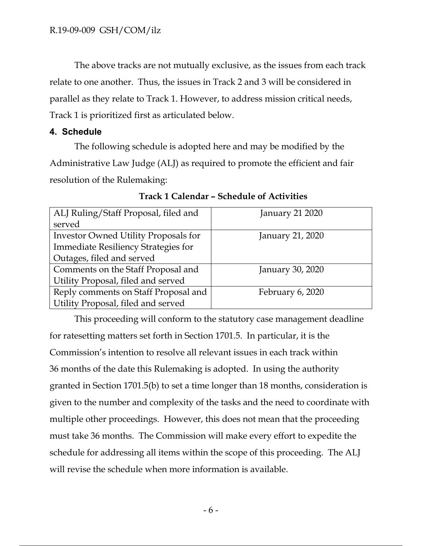The above tracks are not mutually exclusive, as the issues from each track relate to one another. Thus, the issues in Track 2 and 3 will be considered in parallel as they relate to Track 1. However, to address mission critical needs, Track 1 is prioritized first as articulated below.

## **4. Schedule**

The following schedule is adopted here and may be modified by the Administrative Law Judge (ALJ) as required to promote the efficient and fair resolution of the Rulemaking:

| ALJ Ruling/Staff Proposal, filed and        | <b>January 21 2020</b> |
|---------------------------------------------|------------------------|
| served                                      |                        |
| <b>Investor Owned Utility Proposals for</b> | January 21, 2020       |
| <b>Immediate Resiliency Strategies for</b>  |                        |
| Outages, filed and served                   |                        |
| Comments on the Staff Proposal and          | January 30, 2020       |
| Utility Proposal, filed and served          |                        |
| Reply comments on Staff Proposal and        | February 6, 2020       |
| Utility Proposal, filed and served          |                        |

**Track 1 Calendar – Schedule of Activities** 

This proceeding will conform to the statutory case management deadline for ratesetting matters set forth in Section 1701.5. In particular, it is the Commission's intention to resolve all relevant issues in each track within 36 months of the date this Rulemaking is adopted. In using the authority granted in Section 1701.5(b) to set a time longer than 18 months, consideration is given to the number and complexity of the tasks and the need to coordinate with multiple other proceedings. However, this does not mean that the proceeding must take 36 months. The Commission will make every effort to expedite the schedule for addressing all items within the scope of this proceeding. The ALJ will revise the schedule when more information is available.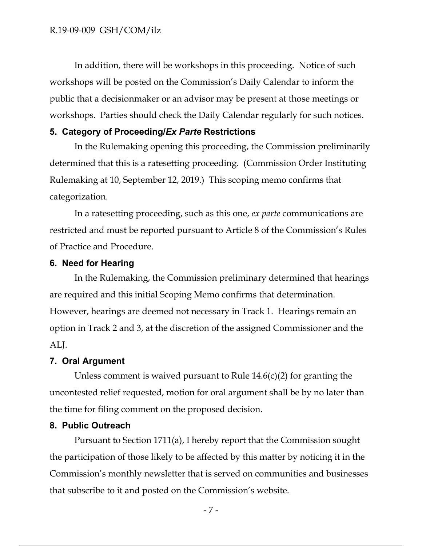In addition, there will be workshops in this proceeding. Notice of such workshops will be posted on the Commission's Daily Calendar to inform the public that a decisionmaker or an advisor may be present at those meetings or workshops. Parties should check the Daily Calendar regularly for such notices.

### **5. Category of Proceeding/***Ex Parte* **Restrictions**

In the Rulemaking opening this proceeding, the Commission preliminarily determined that this is a ratesetting proceeding. (Commission Order Instituting Rulemaking at 10, September 12, 2019.) This scoping memo confirms that categorization.

In a ratesetting proceeding, such as this one, *ex parte* communications are restricted and must be reported pursuant to Article 8 of the Commission's Rules of Practice and Procedure.

### **6. Need for Hearing**

In the Rulemaking, the Commission preliminary determined that hearings are required and this initial Scoping Memo confirms that determination. However, hearings are deemed not necessary in Track 1. Hearings remain an option in Track 2 and 3, at the discretion of the assigned Commissioner and the ALJ.

### **7. Oral Argument**

Unless comment is waived pursuant to Rule 14.6(c)(2) for granting the uncontested relief requested, motion for oral argument shall be by no later than the time for filing comment on the proposed decision.

### **8. Public Outreach**

Pursuant to Section 1711(a), I hereby report that the Commission sought the participation of those likely to be affected by this matter by noticing it in the Commission's monthly newsletter that is served on communities and businesses that subscribe to it and posted on the Commission's website.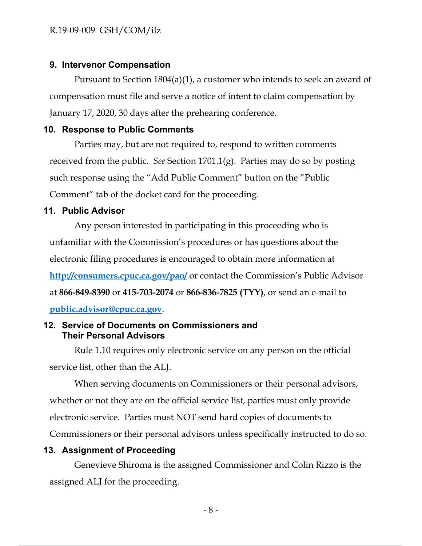### **9. Intervenor Compensation**

Pursuant to Section 1804(a)(1), a customer who intends to seek an award of compensation must file and serve a notice of intent to claim compensation by January 17, 2020, 30 days after the prehearing conference.

### **10. Response to Public Comments**

Parties may, but are not required to, respond to written comments received from the public. *See* Section 1701.1(g). Parties may do so by posting such response using the "Add Public Comment" button on the "Public Comment" tab of the docket card for the proceeding.

### **11. Public Advisor**

Any person interested in participating in this proceeding who is unfamiliar with the Commission's procedures or has questions about the electronic filing procedures is encouraged to obtain more information at **http://consumers.cpuc.ca.gov/pao/** or contact the Commission's Public Advisor at **866-849-8390** or **415-703-2074** or **866-836-7825 (TYY)**, or send an e-mail to **public.advisor@cpuc.ca.gov**.

## **12. Service of Documents on Commissioners and Their Personal Advisors**

Rule 1.10 requires only electronic service on any person on the official service list, other than the ALJ.

When serving documents on Commissioners or their personal advisors, whether or not they are on the official service list, parties must only provide electronic service. Parties must NOT send hard copies of documents to Commissioners or their personal advisors unless specifically instructed to do so.

# **13. Assignment of Proceeding**

Genevieve Shiroma is the assigned Commissioner and Colin Rizzo is the assigned ALJ for the proceeding.